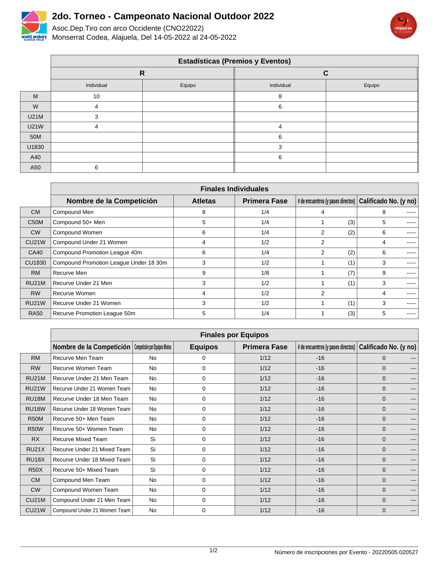

 $\Gamma$ 

## **2do. Torneo - Campeonato Nacional Outdoor 2022**

Asoc.Dep.Tiro con arco Occidente (CNO22022) world archery Monserrat Codea, Alajuela, Del 14-05-2022 al 24-05-2022



|             | <b>Estadísticas (Premios y Eventos)</b> |              |            |        |  |  |  |
|-------------|-----------------------------------------|--------------|------------|--------|--|--|--|
|             |                                         | $\mathsf{R}$ | ◠          |        |  |  |  |
|             | Individual                              | Equipo       | Individual | Equipo |  |  |  |
| M           | 10                                      |              | 8          |        |  |  |  |
| W           | 4                                       |              | 6          |        |  |  |  |
| <b>U21M</b> |                                         |              |            |        |  |  |  |
| <b>U21W</b> | 4                                       |              |            |        |  |  |  |
| 50M         |                                         |              | 6          |        |  |  |  |
| U1830       |                                         |              |            |        |  |  |  |
| A40         |                                         |              | 6          |        |  |  |  |
| A50         | ◠                                       |              |            |        |  |  |  |

|                   | <b>Finales Individuales</b>            |                |                     |                                    |                       |  |
|-------------------|----------------------------------------|----------------|---------------------|------------------------------------|-----------------------|--|
|                   | Nombre de la Competición               | <b>Atletas</b> | <b>Primera Fase</b> | # de encuentros (y pases directos) | Calificado No. (y no) |  |
| <b>CM</b>         | Compound Men                           | 8              | 1/4                 | 4                                  | 8<br>-----            |  |
| C <sub>50</sub> M | Compound 50+ Men                       | 5              | 1/4                 | (3)                                | 5                     |  |
| <b>CW</b>         | Compound Women                         | 6              | 1/4                 | $\overline{2}$<br>(2)              | 6<br>-----            |  |
| <b>CU21W</b>      | Compound Under 21 Women                | 4              | 1/2                 | 2                                  | 4<br>-----            |  |
| CA40              | Compound Promotion League 40m          | 6              | 1/4                 | $\overline{2}$<br>(2)              | 6                     |  |
| CU1830            | Compound Promotion League Under 18 30m | 3              | 1/2                 | (1)                                | 3<br>-----            |  |
| <b>RM</b>         | Recurve Men                            | 9              | 1/8                 | (7)                                | 9<br>-----            |  |
| <b>RU21M</b>      | Recurve Under 21 Men                   | 3              | 1/2                 | (1)                                | 3<br>-----            |  |
| <b>RW</b>         | Recurve Women                          | 4              | 1/2                 | 2                                  | 4<br>-----            |  |
| <b>RU21W</b>      | Recurve Under 21 Women                 | 3              | 1/2                 | (1)                                | 3<br>-----            |  |
| <b>RA50</b>       | Recurve Promotion League 50m           | 5              | 1/4                 | (3)                                | 5<br>-----            |  |

|              | <b>Finales por Equipos</b>                                |           |                |                     |                                    |                       |                        |
|--------------|-----------------------------------------------------------|-----------|----------------|---------------------|------------------------------------|-----------------------|------------------------|
|              | Nombre de la Competición   Competición por Equipos Mixtos |           | <b>Equipos</b> | <b>Primera Fase</b> | # de encuentros (y pases directos) | Calificado No. (y no) |                        |
| <b>RM</b>    | Recurve Men Team                                          | <b>No</b> | 0              | 1/12                | $-16$                              | $\mathbf 0$           |                        |
| <b>RW</b>    | Recurve Women Team                                        | No        | 0              | 1/12                | $-16$                              | $\mathbf{0}$          | $---$                  |
| <b>RU21M</b> | Recurve Under 21 Men Team                                 | No        | 0              | 1/12                | $-16$                              | $\mathbf{0}$          | $---$                  |
| <b>RU21W</b> | Recurve Under 21 Women Team                               | No        | 0              | 1/12                | $-16$                              | $\mathbf 0$           | $---$                  |
| RU18M        | Recurve Under 18 Men Team                                 | No        | 0              | 1/12                | $-16$                              | $\mathbf{0}$          | $---$                  |
| <b>RU18W</b> | Recurve Under 18 Women Team                               | No        | 0              | 1/12                | $-16$                              | $\mathbf{0}$          | $\qquad \qquad \cdots$ |
| <b>R50M</b>  | Recurve 50+ Men Team                                      | No        | 0              | 1/12                | $-16$                              | $\mathbf 0$           | $---$                  |
| <b>R50W</b>  | Recurve 50+ Women Team                                    | No        | 0              | 1/12                | $-16$                              | $\mathbf 0$           | $---$                  |
| <b>RX</b>    | <b>Recurve Mixed Team</b>                                 | Si        | 0              | 1/12                | $-16$                              | $\mathbf 0$           | $---$                  |
| <b>RU21X</b> | Recurve Under 21 Mixed Team                               | Si        | 0              | 1/12                | $-16$                              | $\mathbf 0$           | $---$                  |
| RU18X        | Recurve Under 18 Mixed Team                               | Si        | 0              | 1/12                | $-16$                              | $\mathbf{0}$          | $---$                  |
| <b>R50X</b>  | Recurve 50+ Mixed Team                                    | Si        | 0              | 1/12                | $-16$                              | $\mathbf 0$           | $---$                  |
| <b>CM</b>    | Compound Men Team                                         | <b>No</b> | $\mathbf 0$    | 1/12                | $-16$                              | $\mathbf 0$           | $---$                  |
| <b>CW</b>    | Compound Women Team                                       | <b>No</b> | 0              | 1/12                | $-16$                              | $\mathbf{0}$          | $---$                  |
| <b>CU21M</b> | Compound Under 21 Men Team                                | <b>No</b> | 0              | 1/12                | $-16$                              | $\mathbf{0}$          | $---$                  |
| <b>CU21W</b> | Compound Under 21 Women Team                              | <b>No</b> | 0              | 1/12                | $-16$                              | $\mathbf 0$           | $---$                  |